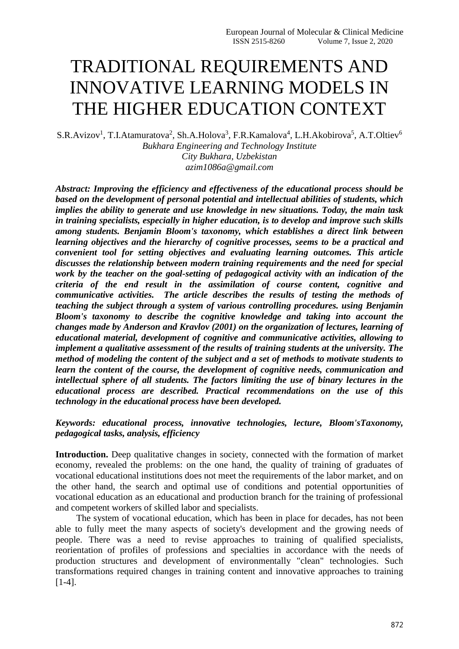## TRADITIONAL REQUIREMENTS AND INNOVATIVE LEARNING MODELS IN THE HIGHER EDUCATION CONTEXT

S.R.Avizov<sup>1</sup>, T.I.Atamuratova<sup>2</sup>, Sh.A.Holova<sup>3</sup>, F.R.Kamalova<sup>4</sup>, L.H.Akobirova<sup>5</sup>, A.T.Oltiev<sup>6</sup> *Bukhara Engineering and Technology Institute City Bukhara, Uzbekistan azim1086a@gmail.com*

*Abstract: Improving the efficiency and effectiveness of the educational process should be based on the development of personal potential and intellectual abilities of students, which implies the ability to generate and use knowledge in new situations. Today, the main task in training specialists, especially in higher education, is to develop and improve such skills among students. Benjamin Bloom's taxonomy, which establishes a direct link between learning objectives and the hierarchy of cognitive processes, seems to be a practical and convenient tool for setting objectives and evaluating learning outcomes. This article discusses the relationship between modern training requirements and the need for special work by the teacher on the goal-setting of pedagogical activity with an indication of the criteria of the end result in the assimilation of course content, cognitive and communicative activities. The article describes the results of testing the methods of teaching the subject through a system of various controlling procedures. using Benjamin Bloom's taxonomy to describe the cognitive knowledge and taking into account the changes made by Anderson and Kravlov (2001) on the organization of lectures, learning of educational material, development of cognitive and communicative activities, allowing to implement a qualitative assessment of the results of training students at the university. The method of modeling the content of the subject and a set of methods to motivate students to learn the content of the course, the development of cognitive needs, communication and intellectual sphere of all students. The factors limiting the use of binary lectures in the educational process are described. Practical recommendations on the use of this technology in the educational process have been developed.*

*Keywords: educational process, innovative technologies, lecture, Bloom'sTaxonomy, pedagogical tasks, analysis, efficiency*

**Introduction.** Deep qualitative changes in society, connected with the formation of market economy, revealed the problems: on the one hand, the quality of training of graduates of vocational educational institutions does not meet the requirements of the labor market, and on the other hand, the search and optimal use of conditions and potential opportunities of vocational education as an educational and production branch for the training of professional and competent workers of skilled labor and specialists.

 The system of vocational education, which has been in place for decades, has not been able to fully meet the many aspects of society's development and the growing needs of people. There was a need to revise approaches to training of qualified specialists, reorientation of profiles of professions and specialties in accordance with the needs of production structures and development of environmentally "clean" technologies. Such transformations required changes in training content and innovative approaches to training [1-4].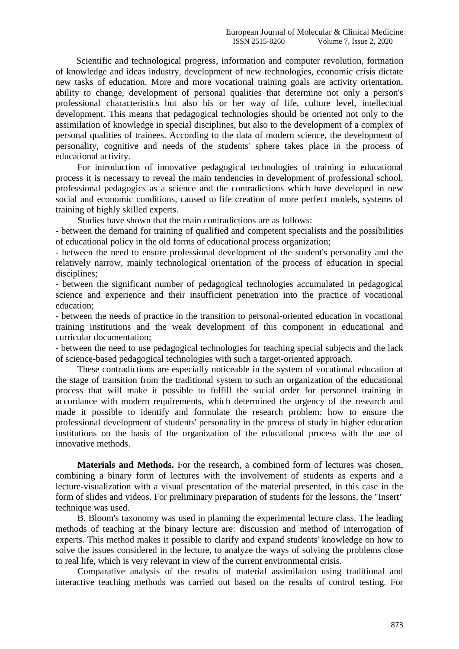Scientific and technological progress, information and computer revolution, formation of knowledge and ideas industry, development of new technologies, economic crisis dictate new tasks of education. More and more vocational training goals are activity orientation, ability to change, development of personal qualities that determine not only a person's professional characteristics but also his or her way of life, culture level, intellectual development. This means that pedagogical technologies should be oriented not only to the assimilation of knowledge in special disciplines, but also to the development of a complex of personal qualities of trainees. According to the data of modern science, the development of personality, cognitive and needs of the students' sphere takes place in the process of educational activity.

For introduction of innovative pedagogical technologies of training in educational process it is necessary to reveal the main tendencies in development of professional school, professional pedagogics as a science and the contradictions which have developed in new social and economic conditions, caused to life creation of more perfect models, systems of training of highly skilled experts.

Studies have shown that the main contradictions are as follows:

- between the demand for training of qualified and competent specialists and the possibilities of educational policy in the old forms of educational process organization;

- between the need to ensure professional development of the student's personality and the relatively narrow, mainly technological orientation of the process of education in special disciplines;

- between the significant number of pedagogical technologies accumulated in pedagogical science and experience and their insufficient penetration into the practice of vocational education;

- between the needs of practice in the transition to personal-oriented education in vocational training institutions and the weak development of this component in educational and curricular documentation;

- between the need to use pedagogical technologies for teaching special subjects and the lack of science-based pedagogical technologies with such a target-oriented approach.

These contradictions are especially noticeable in the system of vocational education at the stage of transition from the traditional system to such an organization of the educational process that will make it possible to fulfill the social order for personnel training in accordance with modern requirements, which determined the urgency of the research and made it possible to identify and formulate the research problem: how to ensure the professional development of students' personality in the process of study in higher education institutions on the basis of the organization of the educational process with the use of innovative methods.

**Materials and Methods.** For the research, a combined form of lectures was chosen, combining a binary form of lectures with the involvement of students as experts and a lecture-visualization with a visual presentation of the material presented, in this case in the form of slides and videos. For preliminary preparation of students for the lessons, the "Insert" technique was used.

B. Bloom's taxonomy was used in planning the experimental lecture class. The leading methods of teaching at the binary lecture are: discussion and method of interrogation of experts. This method makes it possible to clarify and expand students' knowledge on how to solve the issues considered in the lecture, to analyze the ways of solving the problems close to real life, which is very relevant in view of the current environmental crisis.

Comparative analysis of the results of material assimilation using traditional and interactive teaching methods was carried out based on the results of control testing. For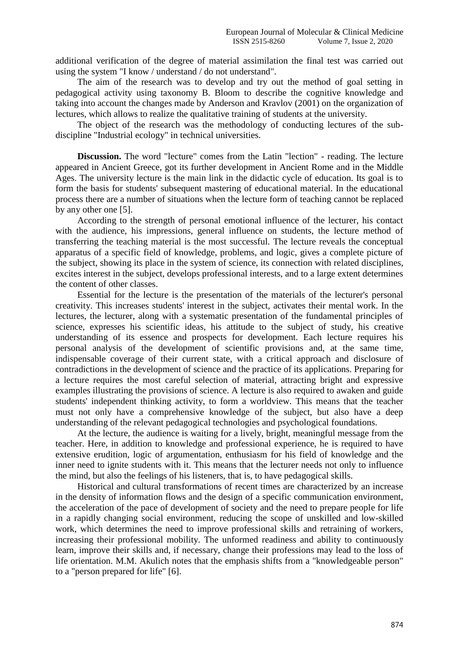additional verification of the degree of material assimilation the final test was carried out using the system "I know / understand / do not understand".

The aim of the research was to develop and try out the method of goal setting in pedagogical activity using taxonomy B. Bloom to describe the cognitive knowledge and taking into account the changes made by Anderson and Kravlov (2001) on the organization of lectures, which allows to realize the qualitative training of students at the university.

The object of the research was the methodology of conducting lectures of the subdiscipline "Industrial ecology" in technical universities.

**Discussion.** The word "lecture" comes from the Latin "lection" - reading. The lecture appeared in Ancient Greece, got its further development in Ancient Rome and in the Middle Ages. The university lecture is the main link in the didactic cycle of education. Its goal is to form the basis for students' subsequent mastering of educational material. In the educational process there are a number of situations when the lecture form of teaching cannot be replaced by any other one [5].

According to the strength of personal emotional influence of the lecturer, his contact with the audience, his impressions, general influence on students, the lecture method of transferring the teaching material is the most successful. The lecture reveals the conceptual apparatus of a specific field of knowledge, problems, and logic, gives a complete picture of the subject, showing its place in the system of science, its connection with related disciplines, excites interest in the subject, develops professional interests, and to a large extent determines the content of other classes.

Essential for the lecture is the presentation of the materials of the lecturer's personal creativity. This increases students' interest in the subject, activates their mental work. In the lectures, the lecturer, along with a systematic presentation of the fundamental principles of science, expresses his scientific ideas, his attitude to the subject of study, his creative understanding of its essence and prospects for development. Each lecture requires his personal analysis of the development of scientific provisions and, at the same time, indispensable coverage of their current state, with a critical approach and disclosure of contradictions in the development of science and the practice of its applications. Preparing for a lecture requires the most careful selection of material, attracting bright and expressive examples illustrating the provisions of science. A lecture is also required to awaken and guide students' independent thinking activity, to form a worldview. This means that the teacher must not only have a comprehensive knowledge of the subject, but also have a deep understanding of the relevant pedagogical technologies and psychological foundations.

At the lecture, the audience is waiting for a lively, bright, meaningful message from the teacher. Here, in addition to knowledge and professional experience, he is required to have extensive erudition, logic of argumentation, enthusiasm for his field of knowledge and the inner need to ignite students with it. This means that the lecturer needs not only to influence the mind, but also the feelings of his listeners, that is, to have pedagogical skills.

Historical and cultural transformations of recent times are characterized by an increase in the density of information flows and the design of a specific communication environment, the acceleration of the pace of development of society and the need to prepare people for life in a rapidly changing social environment, reducing the scope of unskilled and low-skilled work, which determines the need to improve professional skills and retraining of workers, increasing their professional mobility. The unformed readiness and ability to continuously learn, improve their skills and, if necessary, change their professions may lead to the loss of life orientation. M.M. Akulich notes that the emphasis shifts from a "knowledgeable person" to a "person prepared for life" [6].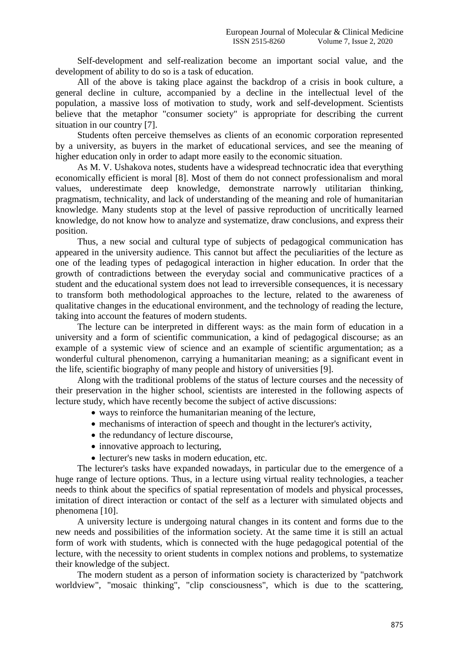Self-development and self-realization become an important social value, and the development of ability to do so is a task of education.

All of the above is taking place against the backdrop of a crisis in book culture, a general decline in culture, accompanied by a decline in the intellectual level of the population, a massive loss of motivation to study, work and self-development. Scientists believe that the metaphor "consumer society" is appropriate for describing the current situation in our country [7].

Students often perceive themselves as clients of an economic corporation represented by a university, as buyers in the market of educational services, and see the meaning of higher education only in order to adapt more easily to the economic situation.

As M. V. Ushakova notes, students have a widespread technocratic idea that everything economically efficient is moral [8]. Most of them do not connect professionalism and moral values, underestimate deep knowledge, demonstrate narrowly utilitarian thinking, pragmatism, technicality, and lack of understanding of the meaning and role of humanitarian knowledge. Many students stop at the level of passive reproduction of uncritically learned knowledge, do not know how to analyze and systematize, draw conclusions, and express their position.

Thus, a new social and cultural type of subjects of pedagogical communication has appeared in the university audience. This cannot but affect the peculiarities of the lecture as one of the leading types of pedagogical interaction in higher education. In order that the growth of contradictions between the everyday social and communicative practices of a student and the educational system does not lead to irreversible consequences, it is necessary to transform both methodological approaches to the lecture, related to the awareness of qualitative changes in the educational environment, and the technology of reading the lecture, taking into account the features of modern students.

The lecture can be interpreted in different ways: as the main form of education in a university and a form of scientific communication, a kind of pedagogical discourse; as an example of a systemic view of science and an example of scientific argumentation; as a wonderful cultural phenomenon, carrying a humanitarian meaning; as a significant event in the life, scientific biography of many people and history of universities [9].

Along with the traditional problems of the status of lecture courses and the necessity of their preservation in the higher school, scientists are interested in the following aspects of lecture study, which have recently become the subject of active discussions:

- ways to reinforce the humanitarian meaning of the lecture,
- mechanisms of interaction of speech and thought in the lecturer's activity,
- the redundancy of lecture discourse,
- innovative approach to lecturing,
- lecturer's new tasks in modern education, etc.

The lecturer's tasks have expanded nowadays, in particular due to the emergence of a huge range of lecture options. Thus, in a lecture using virtual reality technologies, a teacher needs to think about the specifics of spatial representation of models and physical processes, imitation of direct interaction or contact of the self as a lecturer with simulated objects and phenomena [10].

A university lecture is undergoing natural changes in its content and forms due to the new needs and possibilities of the information society. At the same time it is still an actual form of work with students, which is connected with the huge pedagogical potential of the lecture, with the necessity to orient students in complex notions and problems, to systematize their knowledge of the subject.

The modern student as a person of information society is characterized by "patchwork worldview", "mosaic thinking", "clip consciousness", which is due to the scattering,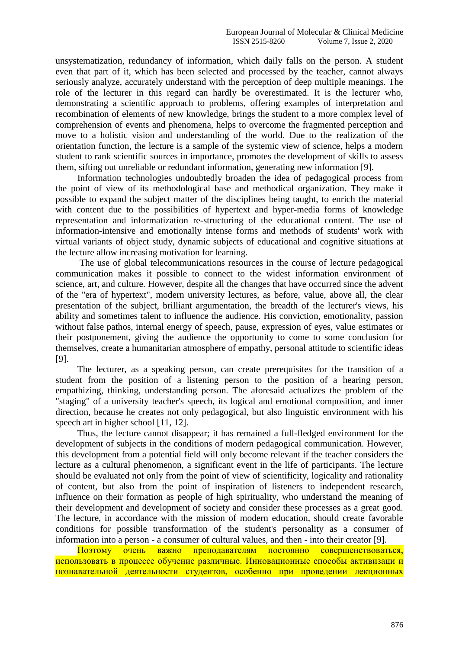unsystematization, redundancy of information, which daily falls on the person. A student even that part of it, which has been selected and processed by the teacher, cannot always seriously analyze, accurately understand with the perception of deep multiple meanings. The role of the lecturer in this regard can hardly be overestimated. It is the lecturer who, demonstrating a scientific approach to problems, offering examples of interpretation and recombination of elements of new knowledge, brings the student to a more complex level of comprehension of events and phenomena, helps to overcome the fragmented perception and move to a holistic vision and understanding of the world. Due to the realization of the orientation function, the lecture is a sample of the systemic view of science, helps a modern student to rank scientific sources in importance, promotes the development of skills to assess them, sifting out unreliable or redundant information, generating new information [9].

Information technologies undoubtedly broaden the idea of pedagogical process from the point of view of its methodological base and methodical organization. They make it possible to expand the subject matter of the disciplines being taught, to enrich the material with content due to the possibilities of hypertext and hyper-media forms of knowledge representation and informatization re-structuring of the educational content. The use of information-intensive and emotionally intense forms and methods of students' work with virtual variants of object study, dynamic subjects of educational and cognitive situations at the lecture allow increasing motivation for learning.

The use of global telecommunications resources in the course of lecture pedagogical communication makes it possible to connect to the widest information environment of science, art, and culture. However, despite all the changes that have occurred since the advent of the "era of hypertext", modern university lectures, as before, value, above all, the clear presentation of the subject, brilliant argumentation, the breadth of the lecturer's views, his ability and sometimes talent to influence the audience. His conviction, emotionality, passion without false pathos, internal energy of speech, pause, expression of eyes, value estimates or their postponement, giving the audience the opportunity to come to some conclusion for themselves, create a humanitarian atmosphere of empathy, personal attitude to scientific ideas [9].

The lecturer, as a speaking person, can create prerequisites for the transition of a student from the position of a listening person to the position of a hearing person, empathizing, thinking, understanding person. The aforesaid actualizes the problem of the "staging" of a university teacher's speech, its logical and emotional composition, and inner direction, because he creates not only pedagogical, but also linguistic environment with his speech art in higher school [11, 12].

Thus, the lecture cannot disappear; it has remained a full-fledged environment for the development of subjects in the conditions of modern pedagogical communication. However, this development from a potential field will only become relevant if the teacher considers the lecture as a cultural phenomenon, a significant event in the life of participants. The lecture should be evaluated not only from the point of view of scientificity, logicality and rationality of content, but also from the point of inspiration of listeners to independent research, influence on their formation as people of high spirituality, who understand the meaning of their development and development of society and consider these processes as a great good. The lecture, in accordance with the mission of modern education, should create favorable conditions for possible transformation of the student's personality as a consumer of information into a person - a consumer of cultural values, and then - into their creator [9].

Поэтому очень важно преподавателям постоянно совершенствоваться, использовать в процессе обучение различные. Инновационные способы активизаци и познавательной деятельности студентов, особенно при проведении лекционных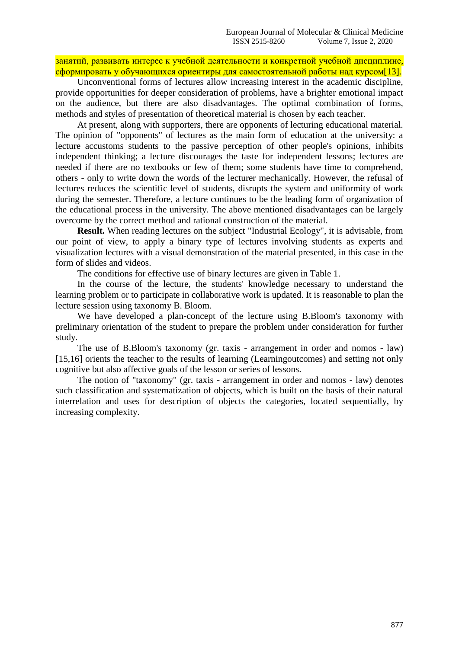занятий, развивать интерес к учебной деятельности и конкретной учебной дисциплине, сформировать у обучающихся ориентиры для самостоятельной работы над курсом[13].

Unconventional forms of lectures allow increasing interest in the academic discipline, provide opportunities for deeper consideration of problems, have a brighter emotional impact on the audience, but there are also disadvantages. The optimal combination of forms, methods and styles of presentation of theoretical material is chosen by each teacher.

At present, along with supporters, there are opponents of lecturing educational material. The opinion of "opponents" of lectures as the main form of education at the university: a lecture accustoms students to the passive perception of other people's opinions, inhibits independent thinking; a lecture discourages the taste for independent lessons; lectures are needed if there are no textbooks or few of them; some students have time to comprehend, others - only to write down the words of the lecturer mechanically. However, the refusal of lectures reduces the scientific level of students, disrupts the system and uniformity of work during the semester. Therefore, a lecture continues to be the leading form of organization of the educational process in the university. The above mentioned disadvantages can be largely overcome by the correct method and rational construction of the material.

**Result.** When reading lectures on the subject "Industrial Ecology", it is advisable, from our point of view, to apply a binary type of lectures involving students as experts and visualization lectures with a visual demonstration of the material presented, in this case in the form of slides and videos.

The conditions for effective use of binary lectures are given in Table 1.

In the course of the lecture, the students' knowledge necessary to understand the learning problem or to participate in collaborative work is updated. It is reasonable to plan the lecture session using taxonomy B. Bloom.

We have developed a plan-concept of the lecture using B.Bloom's taxonomy with preliminary orientation of the student to prepare the problem under consideration for further study.

The use of B.Bloom's taxonomy (gr. taxis - arrangement in order and nomos - law) [15,16] orients the teacher to the results of learning (Learningoutcomes) and setting not only cognitive but also affective goals of the lesson or series of lessons.

The notion of "taxonomy" (gr. taxis - arrangement in order and nomos - law) denotes such classification and systematization of objects, which is built on the basis of their natural interrelation and uses for description of objects the categories, located sequentially, by increasing complexity.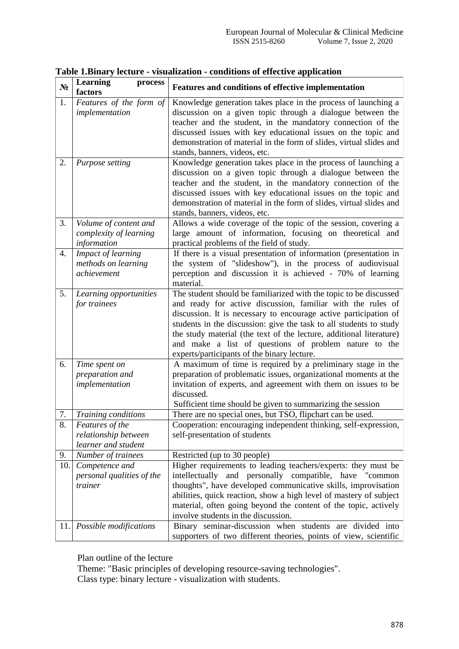| $N_2$ | Learning<br>process<br>factors                                 | Features and conditions of effective implementation                                                                                                                                                                                                                                                                                                                                                                                                       |
|-------|----------------------------------------------------------------|-----------------------------------------------------------------------------------------------------------------------------------------------------------------------------------------------------------------------------------------------------------------------------------------------------------------------------------------------------------------------------------------------------------------------------------------------------------|
| 1.    | Features of the form of<br>implementation                      | Knowledge generation takes place in the process of launching a<br>discussion on a given topic through a dialogue between the<br>teacher and the student, in the mandatory connection of the<br>discussed issues with key educational issues on the topic and<br>demonstration of material in the form of slides, virtual slides and<br>stands, banners, videos, etc.                                                                                      |
| 2.    | Purpose setting                                                | Knowledge generation takes place in the process of launching a<br>discussion on a given topic through a dialogue between the<br>teacher and the student, in the mandatory connection of the<br>discussed issues with key educational issues on the topic and<br>demonstration of material in the form of slides, virtual slides and<br>stands, banners, videos, etc.                                                                                      |
| 3.    | Volume of content and<br>complexity of learning<br>information | Allows a wide coverage of the topic of the session, covering a<br>large amount of information, focusing on theoretical and<br>practical problems of the field of study.                                                                                                                                                                                                                                                                                   |
| 4.    | Impact of learning<br>methods on learning<br>achievement       | If there is a visual presentation of information (presentation in<br>the system of "slideshow"), in the process of audiovisual<br>perception and discussion it is achieved - 70% of learning<br>material.                                                                                                                                                                                                                                                 |
| 5.    | Learning opportunities<br>for trainees                         | The student should be familiarized with the topic to be discussed<br>and ready for active discussion, familiar with the rules of<br>discussion. It is necessary to encourage active participation of<br>students in the discussion: give the task to all students to study<br>the study material (the text of the lecture, additional literature)<br>and make a list of questions of problem nature to the<br>experts/participants of the binary lecture. |
| 6.    | Time spent on<br>preparation and<br>implementation             | A maximum of time is required by a preliminary stage in the<br>preparation of problematic issues, organizational moments at the<br>invitation of experts, and agreement with them on issues to be<br>discussed.<br>Sufficient time should be given to summarizing the session                                                                                                                                                                             |
| 7.    | Training conditions                                            | There are no special ones, but TSO, flipchart can be used.                                                                                                                                                                                                                                                                                                                                                                                                |
| 8.    | Features of the<br>relationship between                        | Cooperation: encouraging independent thinking, self-expression,<br>self-presentation of students                                                                                                                                                                                                                                                                                                                                                          |
|       | learner and student                                            |                                                                                                                                                                                                                                                                                                                                                                                                                                                           |
| 9.    | Number of trainees<br>10. Competence and                       | Restricted (up to 30 people)<br>Higher requirements to leading teachers/experts: they must be                                                                                                                                                                                                                                                                                                                                                             |
|       | personal qualities of the<br>trainer                           | intellectually<br>and personally compatible, have "common<br>thoughts", have developed communicative skills, improvisation<br>abilities, quick reaction, show a high level of mastery of subject<br>material, often going beyond the content of the topic, actively<br>involve students in the discussion.                                                                                                                                                |
| 11.   | Possible modifications                                         | Binary seminar-discussion when students are divided into<br>supporters of two different theories, points of view, scientific                                                                                                                                                                                                                                                                                                                              |

## **Table 1.Binary lecture - visualization - conditions of effective application**

Plan outline of the lecture

Theme: "Basic principles of developing resource-saving technologies". Class type: binary lecture - visualization with students.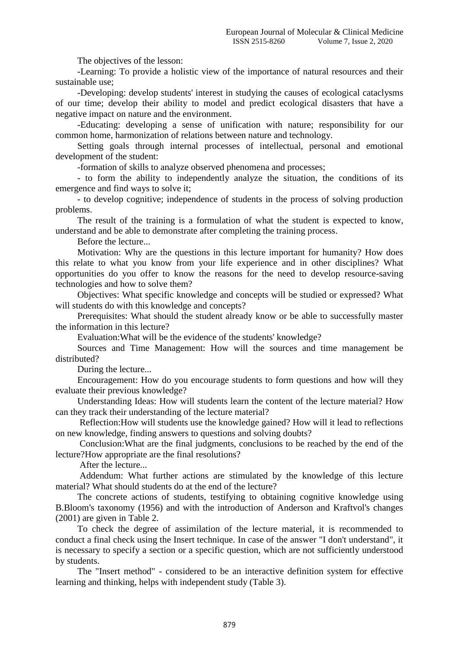The objectives of the lesson:

-Learning: To provide a holistic view of the importance of natural resources and their sustainable use;

-Developing: develop students' interest in studying the causes of ecological cataclysms of our time; develop their ability to model and predict ecological disasters that have a negative impact on nature and the environment.

-Educating: developing a sense of unification with nature; responsibility for our common home, harmonization of relations between nature and technology.

Setting goals through internal processes of intellectual, personal and emotional development of the student:

-formation of skills to analyze observed phenomena and processes;

- to form the ability to independently analyze the situation, the conditions of its emergence and find ways to solve it;

- to develop cognitive; independence of students in the process of solving production problems.

The result of the training is a formulation of what the student is expected to know, understand and be able to demonstrate after completing the training process.

Before the lecture...

Motivation: Why are the questions in this lecture important for humanity? How does this relate to what you know from your life experience and in other disciplines? What opportunities do you offer to know the reasons for the need to develop resource-saving technologies and how to solve them?

Objectives: What specific knowledge and concepts will be studied or expressed? What will students do with this knowledge and concepts?

Prerequisites: What should the student already know or be able to successfully master the information in this lecture?

Evaluation:What will be the evidence of the students' knowledge?

Sources and Time Management: How will the sources and time management be distributed?

During the lecture...

Encouragement: How do you encourage students to form questions and how will they evaluate their previous knowledge?

Understanding Ideas: How will students learn the content of the lecture material? How can they track their understanding of the lecture material?

Reflection:How will students use the knowledge gained? How will it lead to reflections on new knowledge, finding answers to questions and solving doubts?

Conclusion:What are the final judgments, conclusions to be reached by the end of the lecture?How appropriate are the final resolutions?

After the lecture...

Addendum: What further actions are stimulated by the knowledge of this lecture material? What should students do at the end of the lecture?

The concrete actions of students, testifying to obtaining cognitive knowledge using B.Bloom's taxonomy (1956) and with the introduction of Anderson and Kraftvol's changes (2001) are given in Table 2.

To check the degree of assimilation of the lecture material, it is recommended to conduct a final check using the Insert technique. In case of the answer "I don't understand", it is necessary to specify a section or a specific question, which are not sufficiently understood by students.

The "Insert method" - considered to be an interactive definition system for effective learning and thinking, helps with independent study (Table 3).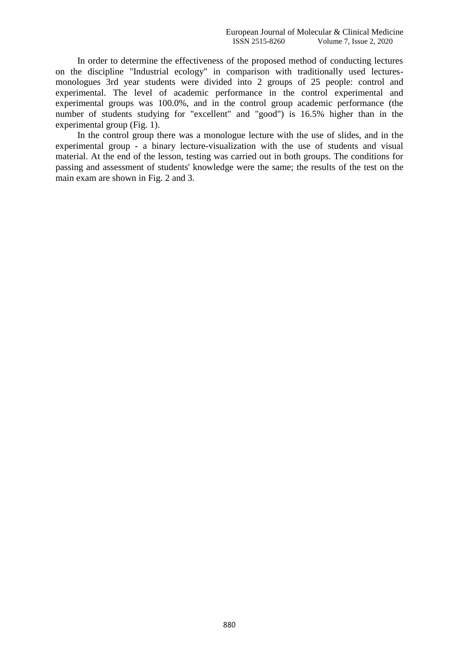In order to determine the effectiveness of the proposed method of conducting lectures on the discipline "Industrial ecology" in comparison with traditionally used lecturesmonologues 3rd year students were divided into 2 groups of 25 people: control and experimental. The level of academic performance in the control experimental and experimental groups was 100.0%, and in the control group academic performance (the number of students studying for "excellent" and "good") is 16.5% higher than in the experimental group (Fig. 1).

In the control group there was a monologue lecture with the use of slides, and in the experimental group - a binary lecture-visualization with the use of students and visual material. At the end of the lesson, testing was carried out in both groups. The conditions for passing and assessment of students' knowledge were the same; the results of the test on the main exam are shown in Fig. 2 and 3.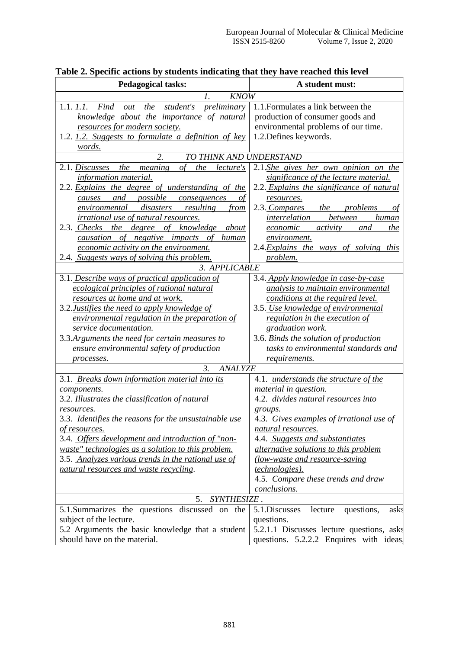| <b>Pedagogical tasks:</b>                                                 | A student must:                                     |  |  |  |  |  |
|---------------------------------------------------------------------------|-----------------------------------------------------|--|--|--|--|--|
| <b>KNOW</b><br>Ι.                                                         |                                                     |  |  |  |  |  |
| out the student's preliminary<br>1.1. 1.1. Find                           | 1.1. Formulates a link between the                  |  |  |  |  |  |
| knowledge about the importance of natural                                 | production of consumer goods and                    |  |  |  |  |  |
| resources for modern society.                                             | environmental problems of our time.                 |  |  |  |  |  |
| 1.2. 1.2. Suggests to formulate a definition of key                       | 1.2. Defines keywords.                              |  |  |  |  |  |
| words.                                                                    |                                                     |  |  |  |  |  |
| 2.<br>TO THINK AND UNDERSTAND                                             |                                                     |  |  |  |  |  |
| $\sigma f$<br>the meaning<br>2.1. Discusses<br>the lecture's              | 2.1.She gives her own opinion on the                |  |  |  |  |  |
| information material.                                                     | significance of the lecture material.               |  |  |  |  |  |
| 2.2. Explains the degree of understanding of the                          | 2.2. Explains the significance of natural           |  |  |  |  |  |
| possible<br>and<br>consequences<br>causes<br>οt                           | resources.                                          |  |  |  |  |  |
| environmental disasters<br>resulting<br>from                              | 2.3. Compares the problems<br>οf                    |  |  |  |  |  |
| irrational use of natural resources.                                      | interrelation<br>between<br>human                   |  |  |  |  |  |
| 2.3. Checks the degree of knowledge about                                 | activity<br>economic<br>and<br>the                  |  |  |  |  |  |
| causation of negative impacts of human                                    | environment.                                        |  |  |  |  |  |
| economic activity on the environment.                                     | 2.4. Explains the ways of solving this              |  |  |  |  |  |
| 2.4. Suggests ways of solving this problem.                               | problem.                                            |  |  |  |  |  |
| 3. APPLICABLE                                                             |                                                     |  |  |  |  |  |
| 3.1. Describe ways of practical application of                            | 3.4. Apply knowledge in case-by-case                |  |  |  |  |  |
| ecological principles of rational natural                                 | analysis to maintain environmental                  |  |  |  |  |  |
| resources at home and at work.                                            | conditions at the required level.                   |  |  |  |  |  |
| 3.2. Justifies the need to apply knowledge of                             | 3.5. Use knowledge of environmental                 |  |  |  |  |  |
| environmental regulation in the preparation of                            | regulation in the execution of                      |  |  |  |  |  |
| service documentation.                                                    | graduation work.                                    |  |  |  |  |  |
| 3.3. Arguments the need for certain measures to                           | 3.6. Binds the solution of production               |  |  |  |  |  |
| ensure environmental safety of production                                 | tasks to environmental standards and                |  |  |  |  |  |
| processes.                                                                | requirements.                                       |  |  |  |  |  |
| $\mathfrak{Z}$ .<br><b>ANALYZE</b>                                        |                                                     |  |  |  |  |  |
| 3.1. Breaks down information material into its                            | 4.1. <i>understands the structure of the</i>        |  |  |  |  |  |
| components.<br>3.2. Illustrates the classification of natural             | <i>material in question.</i>                        |  |  |  |  |  |
|                                                                           | 4.2. divides natural resources into                 |  |  |  |  |  |
| resources.<br>3.3. Identifies the reasons for the unsustainable use       | groups.<br>4.3. Gives examples of irrational use of |  |  |  |  |  |
|                                                                           | natural resources.                                  |  |  |  |  |  |
| <u>of resources.</u><br>3.4. Offers development and introduction of "non- | 4.4. Suggests and substantiates                     |  |  |  |  |  |
| waste" technologies as a solution to this problem.                        | <i>alternative solutions to this problem</i>        |  |  |  |  |  |
| 3.5. Analyzes various trends in the rational use of                       | (low-waste and resource-saving                      |  |  |  |  |  |
| natural resources and waste recycling.                                    | technologies).                                      |  |  |  |  |  |
|                                                                           | 4.5. Compare these trends and draw                  |  |  |  |  |  |
|                                                                           | conclusions.                                        |  |  |  |  |  |
| SYNTHESIZE.<br>5.                                                         |                                                     |  |  |  |  |  |
| 5.1.Summarizes the questions discussed on the                             | 5.1. Discusses<br>lecture<br>questions,<br>asks     |  |  |  |  |  |
| subject of the lecture.                                                   | questions.                                          |  |  |  |  |  |
| 5.2 Arguments the basic knowledge that a student                          | 5.2.1.1 Discusses lecture questions, asks           |  |  |  |  |  |
| should have on the material.                                              | questions. 5.2.2.2 Enquires with ideas.             |  |  |  |  |  |

|  |  | Table 2. Specific actions by students indicating that they have reached this level |  |  |  |
|--|--|------------------------------------------------------------------------------------|--|--|--|
|  |  |                                                                                    |  |  |  |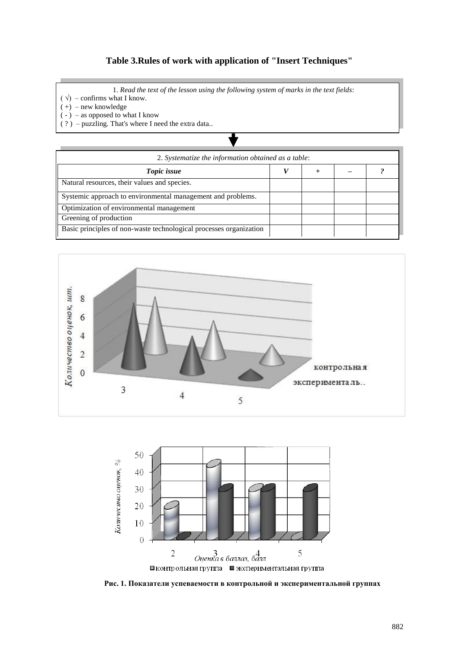## **Table 3.Rules of work with application of "Insert Techniques"**

1. *Read the text of the lesson using the following system of marks in the text fields*:

- $(\sqrt{)}$  confirms what I know.
- $(+)$  new knowledge

 $(-)$  – as opposed to what I know

( ? ) – puzzling. That's where I need the extra data..

| 2. Systematize the information obtained as a table:                |  |  |  |  |  |
|--------------------------------------------------------------------|--|--|--|--|--|
| Topic issue                                                        |  |  |  |  |  |
| Natural resources, their values and species.                       |  |  |  |  |  |
| Systemic approach to environmental management and problems.        |  |  |  |  |  |
| Optimization of environmental management                           |  |  |  |  |  |
| Greening of production                                             |  |  |  |  |  |
| Basic principles of non-waste technological processes organization |  |  |  |  |  |





**Рис. 1. Показатели успеваемости в контрольной и экспериментальной группах**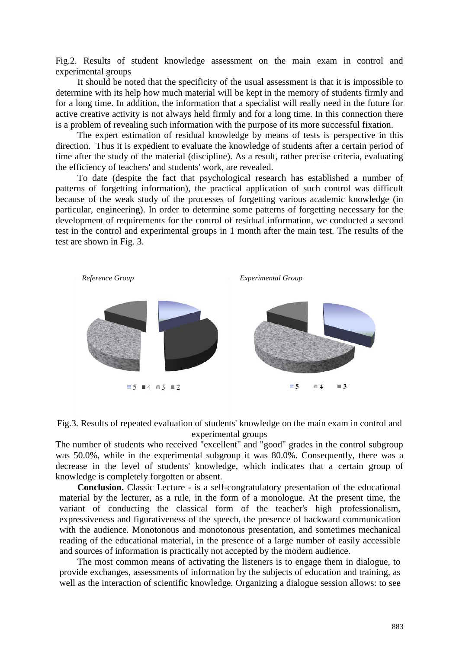Fig.2. Results of student knowledge assessment on the main exam in control and experimental groups

It should be noted that the specificity of the usual assessment is that it is impossible to determine with its help how much material will be kept in the memory of students firmly and for a long time. In addition, the information that a specialist will really need in the future for active creative activity is not always held firmly and for a long time. In this connection there is a problem of revealing such information with the purpose of its more successful fixation.

The expert estimation of residual knowledge by means of tests is perspective in this direction. Thus it is expedient to evaluate the knowledge of students after a certain period of time after the study of the material (discipline). As a result, rather precise criteria, evaluating the efficiency of teachers' and students' work, are revealed.

To date (despite the fact that psychological research has established a number of patterns of forgetting information), the practical application of such control was difficult because of the weak study of the processes of forgetting various academic knowledge (in particular, engineering). In order to determine some patterns of forgetting necessary for the development of requirements for the control of residual information, we conducted a second test in the control and experimental groups in 1 month after the main test. The results of the test are shown in Fig. 3.





The number of students who received "excellent" and "good" grades in the control subgroup was 50.0%, while in the experimental subgroup it was 80.0%. Consequently, there was a decrease in the level of students' knowledge, which indicates that a certain group of knowledge is completely forgotten or absent.

**Conclusion.** Classic Lecture - is a self-congratulatory presentation of the educational material by the lecturer, as a rule, in the form of a monologue. At the present time, the variant of conducting the classical form of the teacher's high professionalism, expressiveness and figurativeness of the speech, the presence of backward communication with the audience. Monotonous and monotonous presentation, and sometimes mechanical reading of the educational material, in the presence of a large number of easily accessible and sources of information is practically not accepted by the modern audience.

The most common means of activating the listeners is to engage them in dialogue, to provide exchanges, assessments of information by the subjects of education and training, as well as the interaction of scientific knowledge. Organizing a dialogue session allows: to see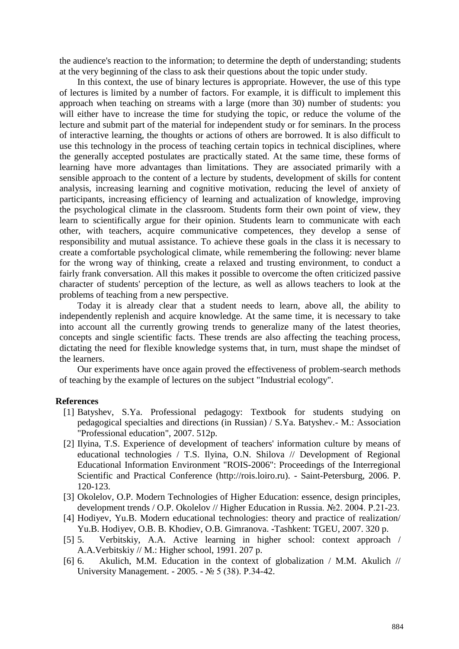the audience's reaction to the information; to determine the depth of understanding; students at the very beginning of the class to ask their questions about the topic under study.

In this context, the use of binary lectures is appropriate. However, the use of this type of lectures is limited by a number of factors. For example, it is difficult to implement this approach when teaching on streams with a large (more than 30) number of students: you will either have to increase the time for studying the topic, or reduce the volume of the lecture and submit part of the material for independent study or for seminars. In the process of interactive learning, the thoughts or actions of others are borrowed. It is also difficult to use this technology in the process of teaching certain topics in technical disciplines, where the generally accepted postulates are practically stated. At the same time, these forms of learning have more advantages than limitations. They are associated primarily with a sensible approach to the content of a lecture by students, development of skills for content analysis, increasing learning and cognitive motivation, reducing the level of anxiety of participants, increasing efficiency of learning and actualization of knowledge, improving the psychological climate in the classroom. Students form their own point of view, they learn to scientifically argue for their opinion. Students learn to communicate with each other, with teachers, acquire communicative competences, they develop a sense of responsibility and mutual assistance. To achieve these goals in the class it is necessary to create a comfortable psychological climate, while remembering the following: never blame for the wrong way of thinking, create a relaxed and trusting environment, to conduct a fairly frank conversation. All this makes it possible to overcome the often criticized passive character of students' perception of the lecture, as well as allows teachers to look at the problems of teaching from a new perspective.

Today it is already clear that a student needs to learn, above all, the ability to independently replenish and acquire knowledge. At the same time, it is necessary to take into account all the currently growing trends to generalize many of the latest theories, concepts and single scientific facts. These trends are also affecting the teaching process, dictating the need for flexible knowledge systems that, in turn, must shape the mindset of the learners.

Our experiments have once again proved the effectiveness of problem-search methods of teaching by the example of lectures on the subject "Industrial ecology".

## **References**

- [1] Batyshev, S.Ya. Professional pedagogy: Textbook for students studying on pedagogical specialties and directions (in Russian) / S.Ya. Batyshev.- M.: Association "Professional education", 2007. 512p.
- [2] Ilyina, T.S. Experience of development of teachers' information culture by means of educational technologies / T.S. Ilyina, O.N. Shilova // Development of Regional Educational Information Environment "ROIS-2006": Proceedings of the Interregional Scientific and Practical Conference (http://rois.loiro.ru). - Saint-Petersburg, 2006. P. 120-123.
- [3] Okolelov, O.P. Modern Technologies of Higher Education: essence, design principles, development trends / O.P. Okolelov // Higher Education in Russia. №2. 2004. P.21-23.
- [4] Hodiyev, Yu.B. Modern educational technologies: theory and practice of realization/ Yu.B. Hodiyev, O.B. B. Khodiev, O.B. Gimranova. -Tashkent: TGEU, 2007. 320 p.
- [5] 5. Verbitskiy, A.A. Active learning in higher school: context approach / A.A.Verbitskiy // M.: Higher school, 1991. 207 p.
- [6] 6. Akulich, M.M. Education in the context of globalization / M.M. Akulich // University Management. - 2005. - № 5 (38). P.34-42.